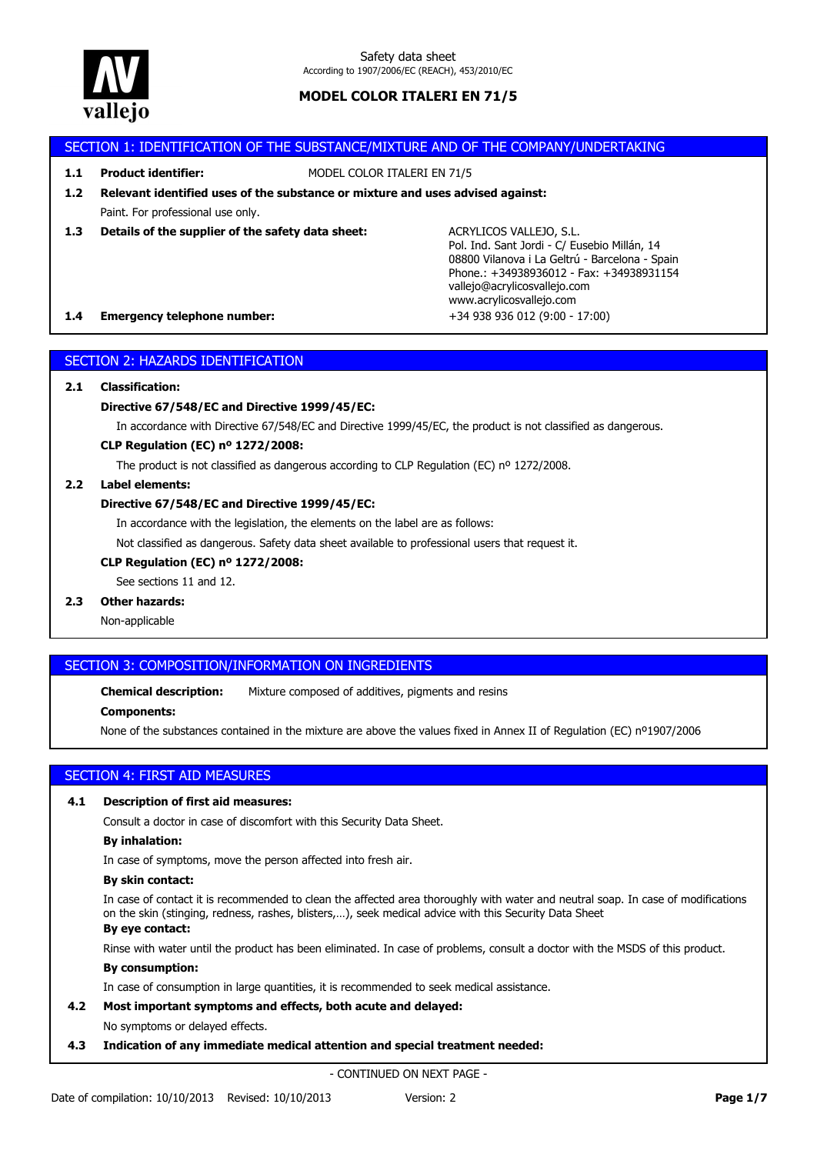

# SECTION 1: IDENTIFICATION OF THE SUBSTANCE/MIXTURE AND OF THE COMPANY/UNDERTAKING

**1.1 Product identifier:** MODEL COLOR ITALERI EN 71/5

Paint. For professional use only. **1.2 Relevant identified uses of the substance or mixture and uses advised against:**

**1.3 Details of the supplier of the safety data sheet:**

ACRYLICOS VALLEJO, S.L. Pol. Ind. Sant Jordi - C/ Eusebio Millán, 14 08800 Vilanova i La Geltrú - Barcelona - Spain Phone.: +34938936012 - Fax: +34938931154 vallejo@acrylicosvallejo.com www.acrylicosvallejo.com

## **1.4 Emergency telephone number:** +34 938 936 012 (9:00 - 17:00)

# SECTION 2: HAZARDS IDENTIFICATION

## **2.1 Classification:**

## **Directive 67/548/EC and Directive 1999/45/EC:**

In accordance with Directive 67/548/EC and Directive 1999/45/EC, the product is not classified as dangerous.

#### **CLP Regulation (EC) nº 1272/2008:**

The product is not classified as dangerous according to CLP Regulation (EC) nº 1272/2008.

## **2.2 Label elements:**

#### **Directive 67/548/EC and Directive 1999/45/EC:**

In accordance with the legislation, the elements on the label are as follows:

Not classified as dangerous. Safety data sheet available to professional users that request it.

#### **CLP Regulation (EC) nº 1272/2008:**

See sections 11 and 12.

# **2.3 Other hazards:**

Non-applicable

# SECTION 3: COMPOSITION/INFORMATION ON INGREDIENTS

**Chemical description:** Mixture composed of additives, pigments and resins

#### **Components:**

None of the substances contained in the mixture are above the values fixed in Annex II of Regulation (EC) nº1907/2006

# SECTION 4: FIRST AID MEASURES

## **4.1 Description of first aid measures:**

Consult a doctor in case of discomfort with this Security Data Sheet.

#### **By inhalation:**

In case of symptoms, move the person affected into fresh air.

# **By skin contact:**

In case of contact it is recommended to clean the affected area thoroughly with water and neutral soap. In case of modifications on the skin (stinging, redness, rashes, blisters,…), seek medical advice with this Security Data Sheet

# **By eye contact:**

Rinse with water until the product has been eliminated. In case of problems, consult a doctor with the MSDS of this product.

# **By consumption:**

In case of consumption in large quantities, it is recommended to seek medical assistance.

# **4.2 Most important symptoms and effects, both acute and delayed:**

No symptoms or delayed effects.

**4.3 Indication of any immediate medical attention and special treatment needed:**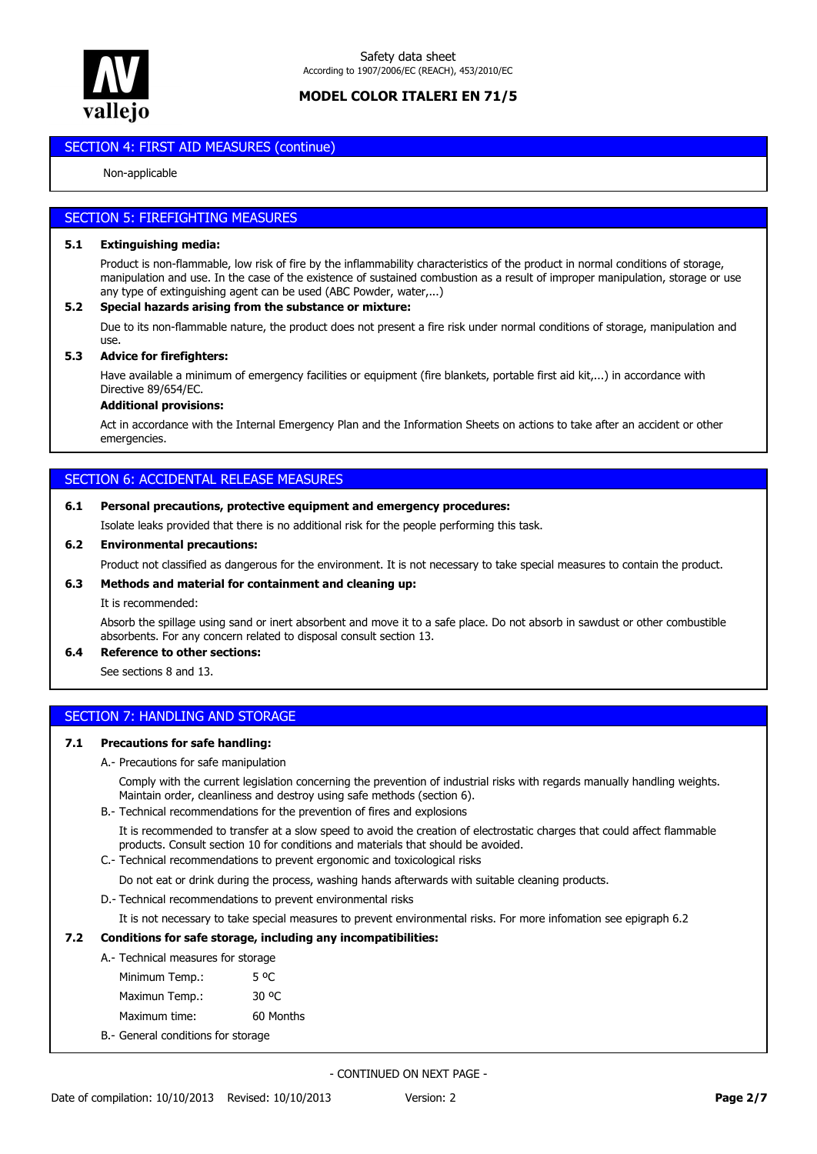

# **SECTION 4: FIRST AID MEASURES (continue)**

#### Non-applicable

## SECTION 5: FIREFIGHTING MEASURES

#### **5.1 Extinguishing media:**

Product is non-flammable, low risk of fire by the inflammability characteristics of the product in normal conditions of storage, manipulation and use. In the case of the existence of sustained combustion as a result of improper manipulation, storage or use any type of extinguishing agent can be used (ABC Powder, water,...)

#### **5.2 Special hazards arising from the substance or mixture:**

Due to its non-flammable nature, the product does not present a fire risk under normal conditions of storage, manipulation and use.

#### **5.3 Advice for firefighters:**

Have available a minimum of emergency facilities or equipment (fire blankets, portable first aid kit,...) in accordance with Directive 89/654/EC.

## **Additional provisions:**

Act in accordance with the Internal Emergency Plan and the Information Sheets on actions to take after an accident or other emergencies.

# SECTION 6: ACCIDENTAL RELEASE MEASURES

## **6.1 Personal precautions, protective equipment and emergency procedures:**

Isolate leaks provided that there is no additional risk for the people performing this task.

#### **6.2 Environmental precautions:**

Product not classified as dangerous for the environment. It is not necessary to take special measures to contain the product.

#### **6.3 Methods and material for containment and cleaning up:**

It is recommended:

Absorb the spillage using sand or inert absorbent and move it to a safe place. Do not absorb in sawdust or other combustible absorbents. For any concern related to disposal consult section 13.

## **6.4 Reference to other sections:**

See sections 8 and 13.

# SECTION 7: HANDLING AND STORAGE

#### **7.1 Precautions for safe handling:**

#### A.- Precautions for safe manipulation

Comply with the current legislation concerning the prevention of industrial risks with regards manually handling weights. Maintain order, cleanliness and destroy using safe methods (section 6).

B.- Technical recommendations for the prevention of fires and explosions

It is recommended to transfer at a slow speed to avoid the creation of electrostatic charges that could affect flammable products. Consult section 10 for conditions and materials that should be avoided.

C.- Technical recommendations to prevent ergonomic and toxicological risks

Do not eat or drink during the process, washing hands afterwards with suitable cleaning products.

D.- Technical recommendations to prevent environmental risks

It is not necessary to take special measures to prevent environmental risks. For more infomation see epigraph 6.2

## **7.2 Conditions for safe storage, including any incompatibilities:**

## A.- Technical measures for storage

| Minimum Temp.: | 5 OC      |
|----------------|-----------|
| Maximun Temp.: | 30 °C     |
| Maximum time:  | 60 Months |
|                |           |

B.- General conditions for storage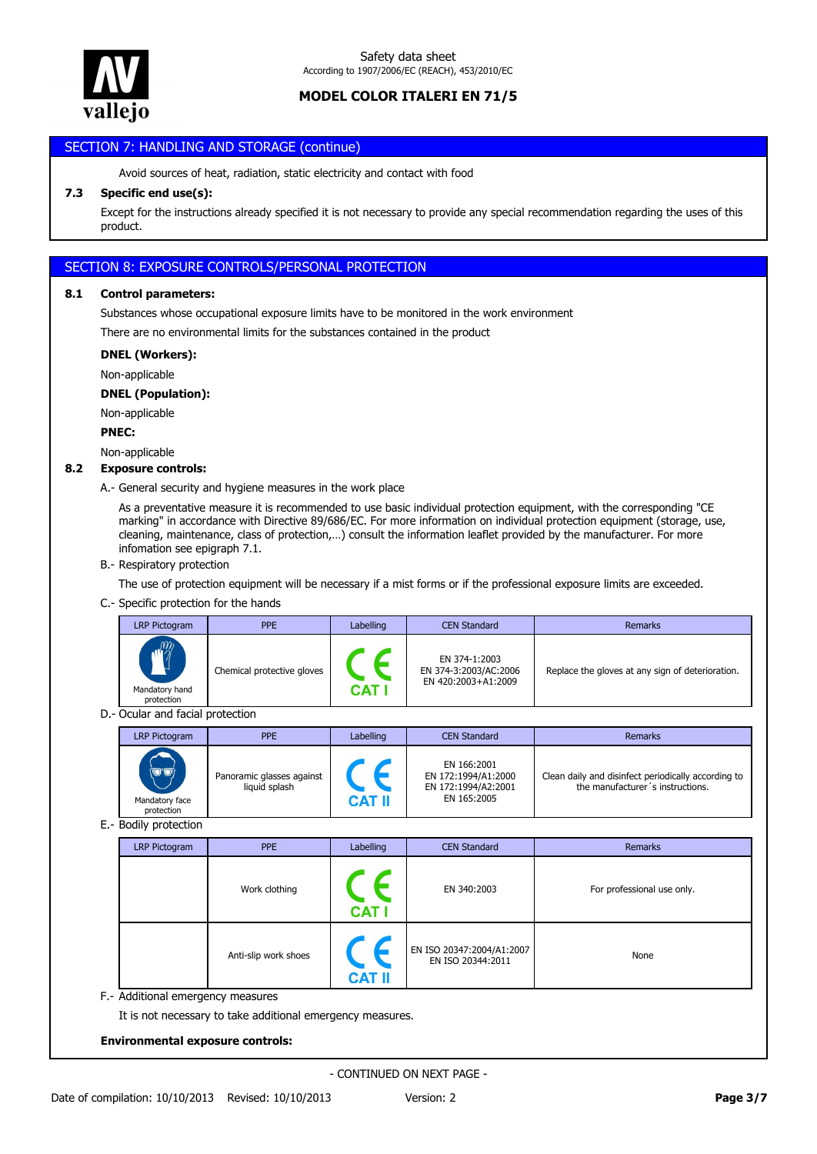

# SECTION 7<mark>: HANDLING AND STORAGE (continue)</mark>

Avoid sources of heat, radiation, static electricity and contact with food

# **7.3 Specific end use(s):**

Except for the instructions already specified it is not necessary to provide any special recommendation regarding the uses of this product.

# SECTION 8: EXPOSURE CONTROLS/PERSONAL PROTECTION

#### **8.1 Control parameters:**

Substances whose occupational exposure limits have to be monitored in the work environment

There are no environmental limits for the substances contained in the product

#### **DNEL (Workers):**

Non-applicable

#### **DNEL (Population):**

Non-applicable

**PNEC:**

# Non-applicable

## **8.2 Exposure controls:**

A.- General security and hygiene measures in the work place

As a preventative measure it is recommended to use basic individual protection equipment, with the corresponding "CE marking" in accordance with Directive 89/686/EC. For more information on individual protection equipment (storage, use, cleaning, maintenance, class of protection,…) consult the information leaflet provided by the manufacturer. For more infomation see epigraph 7.1.

B.- Respiratory protection

The use of protection equipment will be necessary if a mist forms or if the professional exposure limits are exceeded.

C.- Specific protection for the hands

| LRP Pictogram                                   | <b>PPE</b>                 | Labelling | <b>CEN Standard</b>                                           | <b>Remarks</b>                                   |
|-------------------------------------------------|----------------------------|-----------|---------------------------------------------------------------|--------------------------------------------------|
| $m_{\tilde{z}}$<br>Mandatory hand<br>protection | Chemical protective gloves | CAT       | EN 374-1:2003<br>EN 374-3:2003/AC:2006<br>EN 420:2003+A1:2009 | Replace the gloves at any sign of deterioration. |

D.- Ocular and facial protection

| LRP Pictogram                                                           | <b>PPE</b>                                 | Labelling | <b>CEN Standard</b>                                                      | <b>Remarks</b>                                                                          |
|-------------------------------------------------------------------------|--------------------------------------------|-----------|--------------------------------------------------------------------------|-----------------------------------------------------------------------------------------|
| $\rightarrow$<br>$\bigcirc \mathcal{O}$<br>Mandatory face<br>protection | Panoramic glasses against<br>liquid splash | CAT I     | EN 166:2001<br>EN 172:1994/A1:2000<br>EN 172:1994/A2:2001<br>EN 165:2005 | Clean daily and disinfect periodically according to<br>the manufacturer's instructions. |

E.- Bodily protection

| LRP Pictogram | <b>PPE</b>           | Labelling     | <b>CEN Standard</b>                            | Remarks                    |
|---------------|----------------------|---------------|------------------------------------------------|----------------------------|
|               | Work clothing        | <b>CAT I</b>  | EN 340:2003                                    | For professional use only. |
|               | Anti-slip work shoes | <b>CAT II</b> | EN ISO 20347:2004/A1:2007<br>EN ISO 20344:2011 | None                       |

It is not necessary to take additional emergency measures.

#### **Environmental exposure controls:**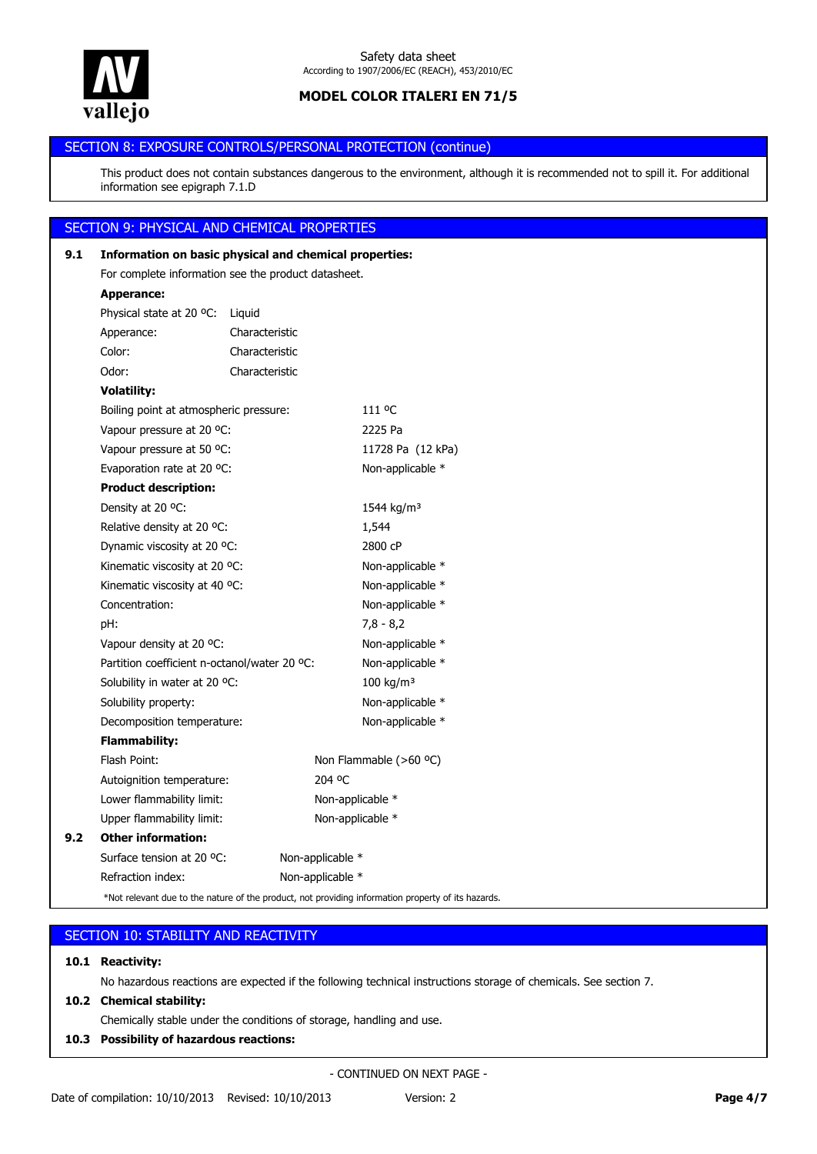

# SECTION 8: EXPOSURE CONTROLS/PERSONAL PROTECTION (continue) **Environmental exposure controls:**

This product does not contain substances dangerous to the environment, although it is recommended not to spill it. For additional information see epigraph 7.1.D

# SECTION 9: PHYSICAL AND CHEMICAL PROPERTIES

| 9.1 | Information on basic physical and chemical properties: |                |                                                                                                    |  |  |
|-----|--------------------------------------------------------|----------------|----------------------------------------------------------------------------------------------------|--|--|
|     | For complete information see the product datasheet.    |                |                                                                                                    |  |  |
|     | <b>Apperance:</b>                                      |                |                                                                                                    |  |  |
|     | Physical state at 20 °C:                               | Liquid         |                                                                                                    |  |  |
|     | Apperance:                                             | Characteristic |                                                                                                    |  |  |
|     | Color:                                                 | Characteristic |                                                                                                    |  |  |
|     | Odor:                                                  | Characteristic |                                                                                                    |  |  |
|     | <b>Volatility:</b>                                     |                |                                                                                                    |  |  |
|     | Boiling point at atmospheric pressure:                 |                | 111 °C                                                                                             |  |  |
|     | Vapour pressure at 20 °C:                              |                | 2225 Pa                                                                                            |  |  |
|     | Vapour pressure at 50 °C:                              |                | 11728 Pa (12 kPa)                                                                                  |  |  |
|     | Evaporation rate at 20 °C:                             |                | Non-applicable *                                                                                   |  |  |
|     | <b>Product description:</b>                            |                |                                                                                                    |  |  |
|     | Density at 20 °C:                                      |                | 1544 kg/m <sup>3</sup>                                                                             |  |  |
|     | Relative density at 20 °C:                             |                | 1,544                                                                                              |  |  |
|     | Dynamic viscosity at 20 °C:                            |                | 2800 cP                                                                                            |  |  |
|     | Kinematic viscosity at 20 °C:                          |                | Non-applicable *                                                                                   |  |  |
|     | Kinematic viscosity at 40 °C:                          |                | Non-applicable *                                                                                   |  |  |
|     | Concentration:                                         |                | Non-applicable *                                                                                   |  |  |
|     | pH:                                                    |                | $7,8 - 8,2$                                                                                        |  |  |
|     | Vapour density at 20 °C:                               |                | Non-applicable *                                                                                   |  |  |
|     | Partition coefficient n-octanol/water 20 °C:           |                | Non-applicable *                                                                                   |  |  |
|     | Solubility in water at 20 °C:                          |                | 100 kg/m <sup>3</sup>                                                                              |  |  |
|     | Solubility property:                                   |                | Non-applicable *                                                                                   |  |  |
|     | Decomposition temperature:                             |                | Non-applicable *                                                                                   |  |  |
|     | <b>Flammability:</b>                                   |                |                                                                                                    |  |  |
|     | Flash Point:                                           |                | Non Flammable (>60 °C)                                                                             |  |  |
|     | Autoignition temperature:                              |                | 204 °C                                                                                             |  |  |
|     | Lower flammability limit:                              |                | Non-applicable *                                                                                   |  |  |
|     | Upper flammability limit:                              |                | Non-applicable *                                                                                   |  |  |
| 9.2 | <b>Other information:</b>                              |                |                                                                                                    |  |  |
|     | Surface tension at 20 °C:                              |                | Non-applicable *                                                                                   |  |  |
|     | Refraction index:                                      |                | Non-applicable *                                                                                   |  |  |
|     |                                                        |                | *Not relevant due to the nature of the product, not providing information property of its hazards. |  |  |

|  | SECTION 10: STABILITY AND REACTIVITY |
|--|--------------------------------------|
|  |                                      |

# **10.1 Reactivity:**

No hazardous reactions are expected if the following technical instructions storage of chemicals. See section 7.

**10.2 Chemical stability:**

Chemically stable under the conditions of storage, handling and use.

**10.3 Possibility of hazardous reactions:**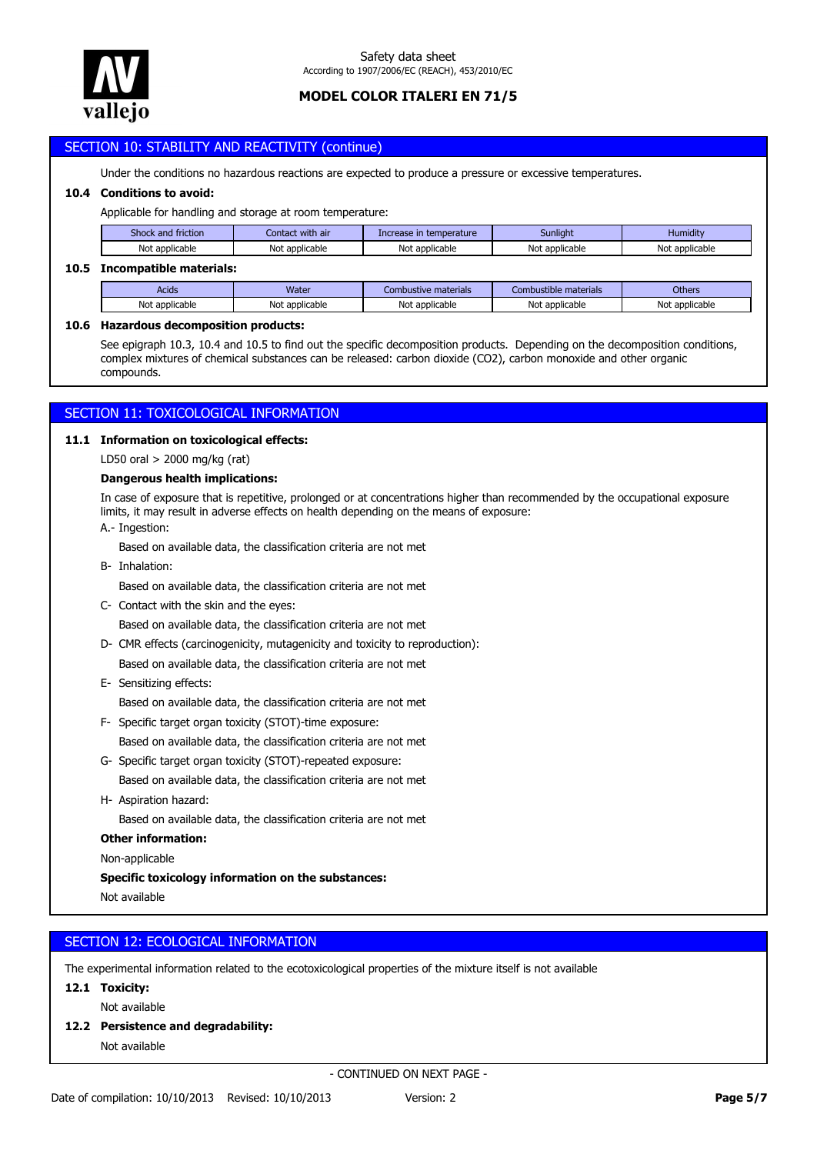

# SECTION 10: STABILITY AND REACTIVITY (continue)

Under the conditions no hazardous reactions are expected to produce a pressure or excessive temperatures.

# **10.4 Conditions to avoid:**

Applicable for handling and storage at room temperature:

| Shock and friction | . with air<br>Contact | Increase in temperature | Sunlight             | Humidity       |
|--------------------|-----------------------|-------------------------|----------------------|----------------|
| Not applicable     | Not<br>applicable     | Not applicable          | Not<br>t applicable. | Not applicable |
|                    |                       |                         |                      |                |

#### **10.5 Incompatible materials:**

| Acids          | Water               | Combustive materials | nbustible materials<br>Com | <b>Others</b>                  |
|----------------|---------------------|----------------------|----------------------------|--------------------------------|
| Not applicable | : applicable<br>Not | Not<br>: applicable  | Not applicable             | applicable <sup>.</sup><br>Not |

#### **10.6 Hazardous decomposition products:**

See epigraph 10.3, 10.4 and 10.5 to find out the specific decomposition products. Depending on the decomposition conditions, complex mixtures of chemical substances can be released: carbon dioxide (CO2), carbon monoxide and other organic compounds.

# SECTION 11: TOXICOLOGICAL INFORMATION

#### **11.1 Information on toxicological effects:**

LD50 oral > 2000 mg/kg (rat)

## **Dangerous health implications:**

A.- Ingestion: In case of exposure that is repetitive, prolonged or at concentrations higher than recommended by the occupational exposure limits, it may result in adverse effects on health depending on the means of exposure:

Based on available data, the classification criteria are not met

B- Inhalation:

Based on available data, the classification criteria are not met

C- Contact with the skin and the eyes:

Based on available data, the classification criteria are not met

D- CMR effects (carcinogenicity, mutagenicity and toxicity to reproduction):

Based on available data, the classification criteria are not met

E- Sensitizing effects:

Based on available data, the classification criteria are not met

- Based on available data, the classification criteria are not met F- Specific target organ toxicity (STOT)-time exposure:
- Based on available data, the classification criteria are not met G- Specific target organ toxicity (STOT)-repeated exposure:
- Based on available data, the classification criteria are not met H- Aspiration hazard:

## **Other information:**

Non-applicable

## **Specific toxicology information on the substances:**

Not available

# SECTION 12: ECOLOGICAL INFORMATION

The experimental information related to the ecotoxicological properties of the mixture itself is not available

## **12.1 Toxicity:**

Not available

**12.2 Persistence and degradability:**

Not available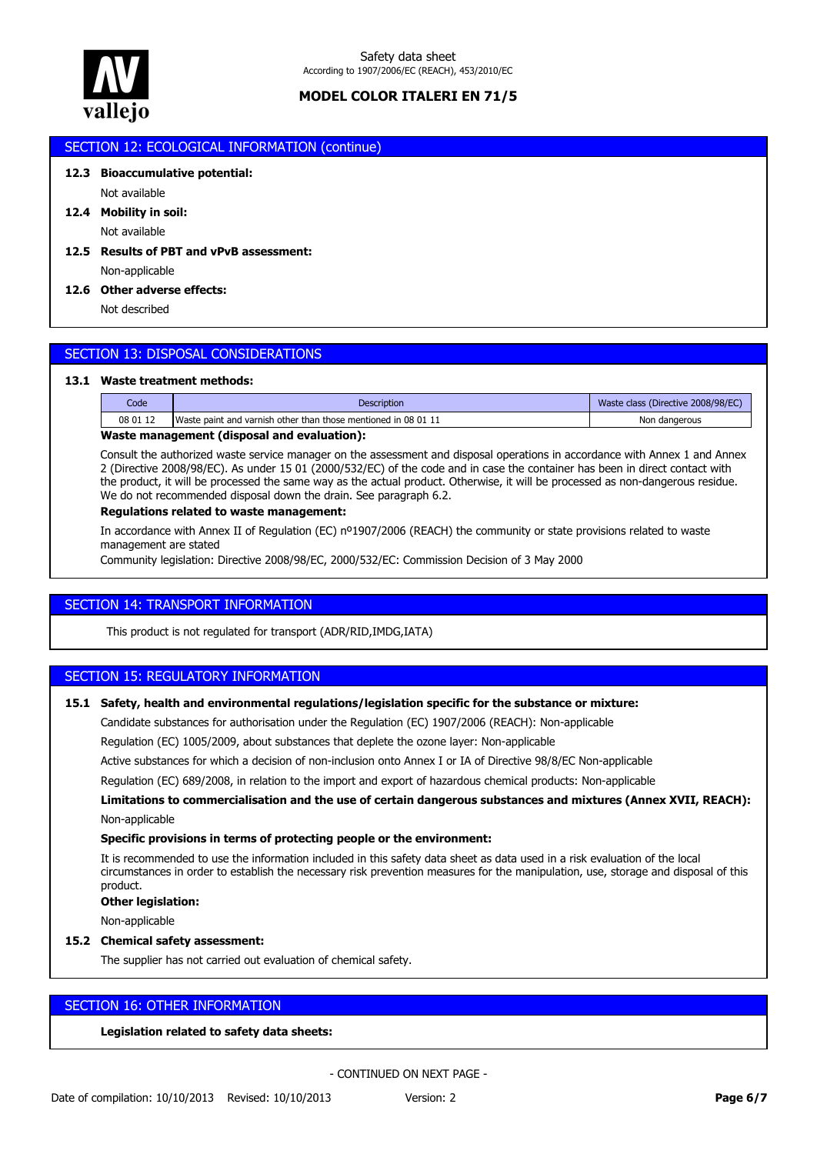

## SECTION 12: ECOLOGICAL INFORMATION (continue)

## **12.3 Bioaccumulative potential:**

Not available

Not available **12.4 Mobility in soil:**

# Non-applicable **12.5 Results of PBT and vPvB assessment:**

## **12.6 Other adverse effects:**

Not described

# SECTION 13: DISPOSAL CONSIDERATIONS

#### **13.1 Waste treatment methods:**

| Code     | <b>Description</b>                                             | Waste class (Directive 2008/98/EC) |  |  |  |
|----------|----------------------------------------------------------------|------------------------------------|--|--|--|
| 08 01 12 | Waste paint and varnish other than those mentioned in 08 01 11 | Non dangerous                      |  |  |  |
|          |                                                                |                                    |  |  |  |

## **Waste management (disposal and evaluation):**

Consult the authorized waste service manager on the assessment and disposal operations in accordance with Annex 1 and Annex 2 (Directive 2008/98/EC). As under 15 01 (2000/532/EC) of the code and in case the container has been in direct contact with the product, it will be processed the same way as the actual product. Otherwise, it will be processed as non-dangerous residue. We do not recommended disposal down the drain. See paragraph 6.2.

## **Regulations related to waste management:**

In accordance with Annex II of Regulation (EC) nº1907/2006 (REACH) the community or state provisions related to waste management are stated

Community legislation: Directive 2008/98/EC, 2000/532/EC: Commission Decision of 3 May 2000

# SECTION 14: TRANSPORT INFORMATION

This product is not regulated for transport (ADR/RID,IMDG,IATA)

## SECTION 15: REGULATORY INFORMATION

## **15.1 Safety, health and environmental regulations/legislation specific for the substance or mixture:**

Candidate substances for authorisation under the Regulation (EC) 1907/2006 (REACH): Non-applicable

Regulation (EC) 1005/2009, about substances that deplete the ozone layer: Non-applicable

Active substances for which a decision of non-inclusion onto Annex I or IA of Directive 98/8/EC Non-applicable

Regulation (EC) 689/2008, in relation to the import and export of hazardous chemical products: Non-applicable

Non-applicable **Limitations to commercialisation and the use of certain dangerous substances and mixtures (Annex XVII, REACH):**

#### **Specific provisions in terms of protecting people or the environment:**

It is recommended to use the information included in this safety data sheet as data used in a risk evaluation of the local circumstances in order to establish the necessary risk prevention measures for the manipulation, use, storage and disposal of this product.

#### **Other legislation:**

Non-applicable

#### **15.2 Chemical safety assessment:**

The supplier has not carried out evaluation of chemical safety.

# SECTION 16: OTHER INFORMATION

**Legislation related to safety data sheets:**